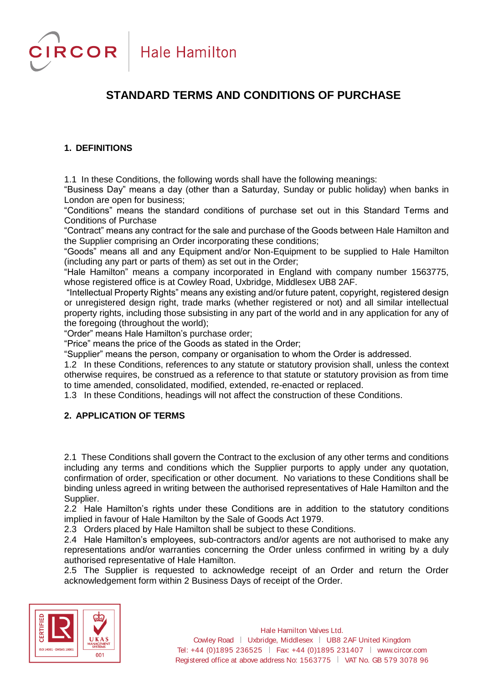# **STANDARD TERMS AND CONDITIONS OF PURCHASE**

# **1. DEFINITIONS**

1.1 In these Conditions, the following words shall have the following meanings:

"Business Day" means a day (other than a Saturday, Sunday or public holiday) when banks in London are open for business;

"Conditions" means the standard conditions of purchase set out in this Standard Terms and Conditions of Purchase

"Contract" means any contract for the sale and purchase of the Goods between Hale Hamilton and the Supplier comprising an Order incorporating these conditions;

"Goods" means all and any Equipment and/or Non-Equipment to be supplied to Hale Hamilton (including any part or parts of them) as set out in the Order;

"Hale Hamilton" means a company incorporated in England with company number 1563775, whose registered office is at Cowley Road, Uxbridge, Middlesex UB8 2AF.

"Intellectual Property Rights" means any existing and/or future patent, copyright, registered design or unregistered design right, trade marks (whether registered or not) and all similar intellectual property rights, including those subsisting in any part of the world and in any application for any of the foregoing (throughout the world);

"Order" means Hale Hamilton's purchase order;

"Price" means the price of the Goods as stated in the Order;

"Supplier" means the person, company or organisation to whom the Order is addressed.

1.2 In these Conditions, references to any statute or statutory provision shall, unless the context otherwise requires, be construed as a reference to that statute or statutory provision as from time to time amended, consolidated, modified, extended, re-enacted or replaced.

1.3 In these Conditions, headings will not affect the construction of these Conditions.

# **2. APPLICATION OF TERMS**

2.1 These Conditions shall govern the Contract to the exclusion of any other terms and conditions including any terms and conditions which the Supplier purports to apply under any quotation, confirmation of order, specification or other document. No variations to these Conditions shall be binding unless agreed in writing between the authorised representatives of Hale Hamilton and the Supplier.

2.2 Hale Hamilton's rights under these Conditions are in addition to the statutory conditions implied in favour of Hale Hamilton by the Sale of Goods Act 1979.

2.3 Orders placed by Hale Hamilton shall be subject to these Conditions.

2.4 Hale Hamilton's employees, sub-contractors and/or agents are not authorised to make any representations and/or warranties concerning the Order unless confirmed in writing by a duly authorised representative of Hale Hamilton.

2.5 The Supplier is requested to acknowledge receipt of an Order and return the Order acknowledgement form within 2 Business Days of receipt of the Order.

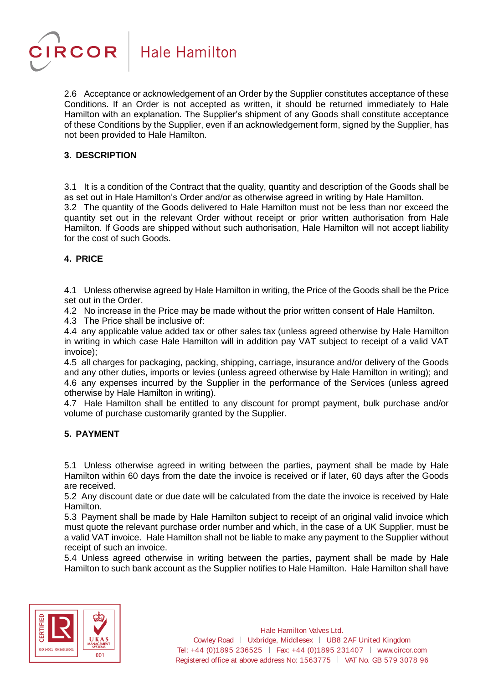

2.6 Acceptance or acknowledgement of an Order by the Supplier constitutes acceptance of these Conditions. If an Order is not accepted as written, it should be returned immediately to Hale Hamilton with an explanation. The Supplier's shipment of any Goods shall constitute acceptance of these Conditions by the Supplier, even if an acknowledgement form, signed by the Supplier, has not been provided to Hale Hamilton.

# **3. DESCRIPTION**

3.1 It is a condition of the Contract that the quality, quantity and description of the Goods shall be as set out in Hale Hamilton's Order and/or as otherwise agreed in writing by Hale Hamilton. 3.2 The quantity of the Goods delivered to Hale Hamilton must not be less than nor exceed the quantity set out in the relevant Order without receipt or prior written authorisation from Hale Hamilton. If Goods are shipped without such authorisation, Hale Hamilton will not accept liability for the cost of such Goods.

# **4. PRICE**

4.1 Unless otherwise agreed by Hale Hamilton in writing, the Price of the Goods shall be the Price set out in the Order.

4.2 No increase in the Price may be made without the prior written consent of Hale Hamilton.

4.3 The Price shall be inclusive of:

4.4 any applicable value added tax or other sales tax (unless agreed otherwise by Hale Hamilton in writing in which case Hale Hamilton will in addition pay VAT subject to receipt of a valid VAT invoice);

4.5 all charges for packaging, packing, shipping, carriage, insurance and/or delivery of the Goods and any other duties, imports or levies (unless agreed otherwise by Hale Hamilton in writing); and 4.6 any expenses incurred by the Supplier in the performance of the Services (unless agreed otherwise by Hale Hamilton in writing).

4.7 Hale Hamilton shall be entitled to any discount for prompt payment, bulk purchase and/or volume of purchase customarily granted by the Supplier.

# **5. PAYMENT**

5.1 Unless otherwise agreed in writing between the parties, payment shall be made by Hale Hamilton within 60 days from the date the invoice is received or if later, 60 days after the Goods are received.

5.2 Any discount date or due date will be calculated from the date the invoice is received by Hale Hamilton.

5.3 Payment shall be made by Hale Hamilton subject to receipt of an original valid invoice which must quote the relevant purchase order number and which, in the case of a UK Supplier, must be a valid VAT invoice. Hale Hamilton shall not be liable to make any payment to the Supplier without receipt of such an invoice.

5.4 Unless agreed otherwise in writing between the parties, payment shall be made by Hale Hamilton to such bank account as the Supplier notifies to Hale Hamilton. Hale Hamilton shall have

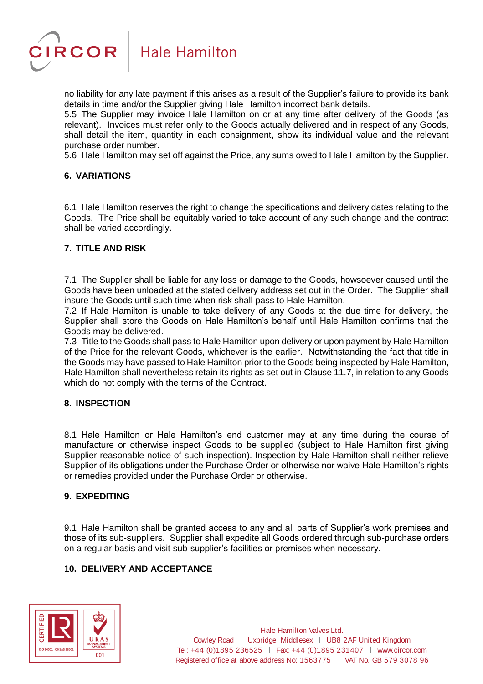

no liability for any late payment if this arises as a result of the Supplier's failure to provide its bank details in time and/or the Supplier giving Hale Hamilton incorrect bank details.

5.5 The Supplier may invoice Hale Hamilton on or at any time after delivery of the Goods (as relevant). Invoices must refer only to the Goods actually delivered and in respect of any Goods, shall detail the item, quantity in each consignment, show its individual value and the relevant purchase order number.

5.6 Hale Hamilton may set off against the Price, any sums owed to Hale Hamilton by the Supplier.

# **6. VARIATIONS**

6.1 Hale Hamilton reserves the right to change the specifications and delivery dates relating to the Goods. The Price shall be equitably varied to take account of any such change and the contract shall be varied accordingly.

# **7. TITLE AND RISK**

7.1 The Supplier shall be liable for any loss or damage to the Goods, howsoever caused until the Goods have been unloaded at the stated delivery address set out in the Order. The Supplier shall insure the Goods until such time when risk shall pass to Hale Hamilton.

7.2 If Hale Hamilton is unable to take delivery of any Goods at the due time for delivery, the Supplier shall store the Goods on Hale Hamilton's behalf until Hale Hamilton confirms that the Goods may be delivered.

7.3 Title to the Goods shall pass to Hale Hamilton upon delivery or upon payment by Hale Hamilton of the Price for the relevant Goods, whichever is the earlier. Notwithstanding the fact that title in the Goods may have passed to Hale Hamilton prior to the Goods being inspected by Hale Hamilton, Hale Hamilton shall nevertheless retain its rights as set out in Clause [11.7,](#page-4-0) in relation to any Goods which do not comply with the terms of the Contract.

#### **8. INSPECTION**

8.1 Hale Hamilton or Hale Hamilton's end customer may at any time during the course of manufacture or otherwise inspect Goods to be supplied (subject to Hale Hamilton first giving Supplier reasonable notice of such inspection). Inspection by Hale Hamilton shall neither relieve Supplier of its obligations under the Purchase Order or otherwise nor waive Hale Hamilton's rights or remedies provided under the Purchase Order or otherwise.

#### **9. EXPEDITING**

9.1 Hale Hamilton shall be granted access to any and all parts of Supplier's work premises and those of its sub-suppliers. Supplier shall expedite all Goods ordered through sub-purchase orders on a regular basis and visit sub-supplier's facilities or premises when necessary.

# **10. DELIVERY AND ACCEPTANCE**

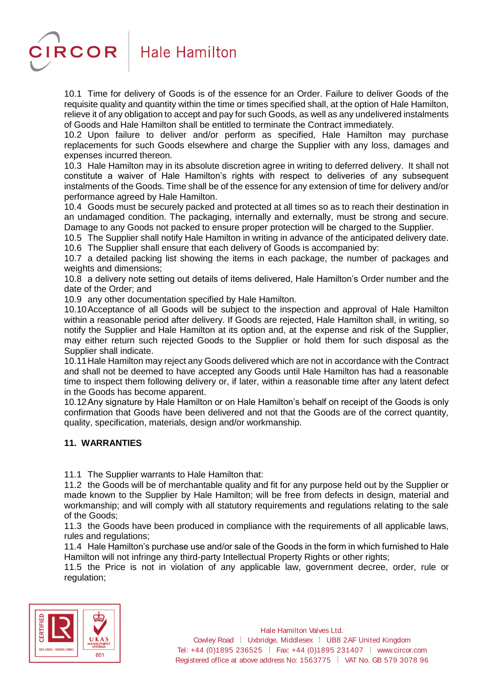

10.1 Time for delivery of Goods is of the essence for an Order. Failure to deliver Goods of the requisite quality and quantity within the time or times specified shall, at the option of Hale Hamilton, relieve it of any obligation to accept and pay for such Goods, as well as any undelivered instalments of Goods and Hale Hamilton shall be entitled to terminate the Contract immediately.

10.2 Upon failure to deliver and/or perform as specified, Hale Hamilton may purchase replacements for such Goods elsewhere and charge the Supplier with any loss, damages and expenses incurred thereon.

10.3 Hale Hamilton may in its absolute discretion agree in writing to deferred delivery. It shall not constitute a waiver of Hale Hamilton's rights with respect to deliveries of any subsequent instalments of the Goods. Time shall be of the essence for any extension of time for delivery and/or performance agreed by Hale Hamilton.

10.4 Goods must be securely packed and protected at all times so as to reach their destination in an undamaged condition. The packaging, internally and externally, must be strong and secure. Damage to any Goods not packed to ensure proper protection will be charged to the Supplier.

10.5 The Supplier shall notify Hale Hamilton in writing in advance of the anticipated delivery date.

10.6 The Supplier shall ensure that each delivery of Goods is accompanied by:

10.7 a detailed packing list showing the items in each package, the number of packages and weights and dimensions;

10.8 a delivery note setting out details of items delivered, Hale Hamilton's Order number and the date of the Order; and

10.9 any other documentation specified by Hale Hamilton.

10.10Acceptance of all Goods will be subject to the inspection and approval of Hale Hamilton within a reasonable period after delivery. If Goods are rejected, Hale Hamilton shall, in writing, so notify the Supplier and Hale Hamilton at its option and, at the expense and risk of the Supplier, may either return such rejected Goods to the Supplier or hold them for such disposal as the Supplier shall indicate.

10.11Hale Hamilton may reject any Goods delivered which are not in accordance with the Contract and shall not be deemed to have accepted any Goods until Hale Hamilton has had a reasonable time to inspect them following delivery or, if later, within a reasonable time after any latent defect in the Goods has become apparent.

10.12Any signature by Hale Hamilton or on Hale Hamilton's behalf on receipt of the Goods is only confirmation that Goods have been delivered and not that the Goods are of the correct quantity, quality, specification, materials, design and/or workmanship.

# **11. WARRANTIES**

11.1 The Supplier warrants to Hale Hamilton that:

11.2 the Goods will be of merchantable quality and fit for any purpose held out by the Supplier or made known to the Supplier by Hale Hamilton; will be free from defects in design, material and workmanship; and will comply with all statutory requirements and regulations relating to the sale of the Goods;

11.3 the Goods have been produced in compliance with the requirements of all applicable laws, rules and regulations;

11.4 Hale Hamilton's purchase use and/or sale of the Goods in the form in which furnished to Hale Hamilton will not infringe any third-party Intellectual Property Rights or other rights;

11.5 the Price is not in violation of any applicable law, government decree, order, rule or regulation;



Hale Hamilton Valves Ltd. Cowley Road | Uxbridge, Middlesex | UB8 2AF United Kingdom Tel: +44 (0)1895 236525 Fax: +44 (0)1895 231407 www.circor.com Registered office at above address No: 1563775 | VAT No. GB 579 3078 96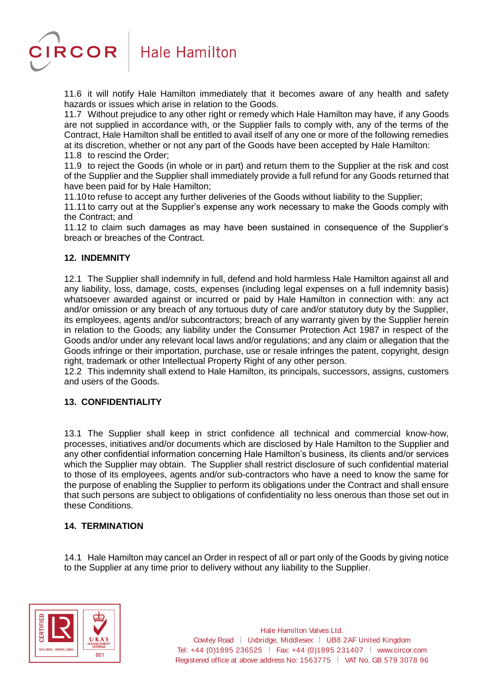

11.6 it will notify Hale Hamilton immediately that it becomes aware of any health and safety hazards or issues which arise in relation to the Goods.

<span id="page-4-0"></span>11.7 Without prejudice to any other right or remedy which Hale Hamilton may have, if any Goods are not supplied in accordance with, or the Supplier fails to comply with, any of the terms of the Contract, Hale Hamilton shall be entitled to avail itself of any one or more of the following remedies at its discretion, whether or not any part of the Goods have been accepted by Hale Hamilton: 11.8 to rescind the Order;

11.9 to reject the Goods (in whole or in part) and return them to the Supplier at the risk and cost of the Supplier and the Supplier shall immediately provide a full refund for any Goods returned that have been paid for by Hale Hamilton;

11.10to refuse to accept any further deliveries of the Goods without liability to the Supplier;

11.11to carry out at the Supplier's expense any work necessary to make the Goods comply with the Contract; and

11.12 to claim such damages as may have been sustained in consequence of the Supplier's breach or breaches of the Contract.

# **12. INDEMNITY**

12.1 The Supplier shall indemnify in full, defend and hold harmless Hale Hamilton against all and any liability, loss, damage, costs, expenses (including legal expenses on a full indemnity basis) whatsoever awarded against or incurred or paid by Hale Hamilton in connection with: any act and/or omission or any breach of any tortuous duty of care and/or statutory duty by the Supplier, its employees, agents and/or subcontractors; breach of any warranty given by the Supplier herein in relation to the Goods; any liability under the Consumer Protection Act 1987 in respect of the Goods and/or under any relevant local laws and/or regulations; and any claim or allegation that the Goods infringe or their importation, purchase, use or resale infringes the patent, copyright, design right, trademark or other Intellectual Property Right of any other person.

12.2 This indemnity shall extend to Hale Hamilton, its principals, successors, assigns, customers and users of the Goods.

# **13. CONFIDENTIALITY**

13.1 The Supplier shall keep in strict confidence all technical and commercial know-how, processes, initiatives and/or documents which are disclosed by Hale Hamilton to the Supplier and any other confidential information concerning Hale Hamilton's business, its clients and/or services which the Supplier may obtain. The Supplier shall restrict disclosure of such confidential material to those of its employees, agents and/or sub-contractors who have a need to know the same for the purpose of enabling the Supplier to perform its obligations under the Contract and shall ensure that such persons are subject to obligations of confidentiality no less onerous than those set out in these Conditions.

# **14. TERMINATION**

14.1 Hale Hamilton may cancel an Order in respect of all or part only of the Goods by giving notice to the Supplier at any time prior to delivery without any liability to the Supplier.